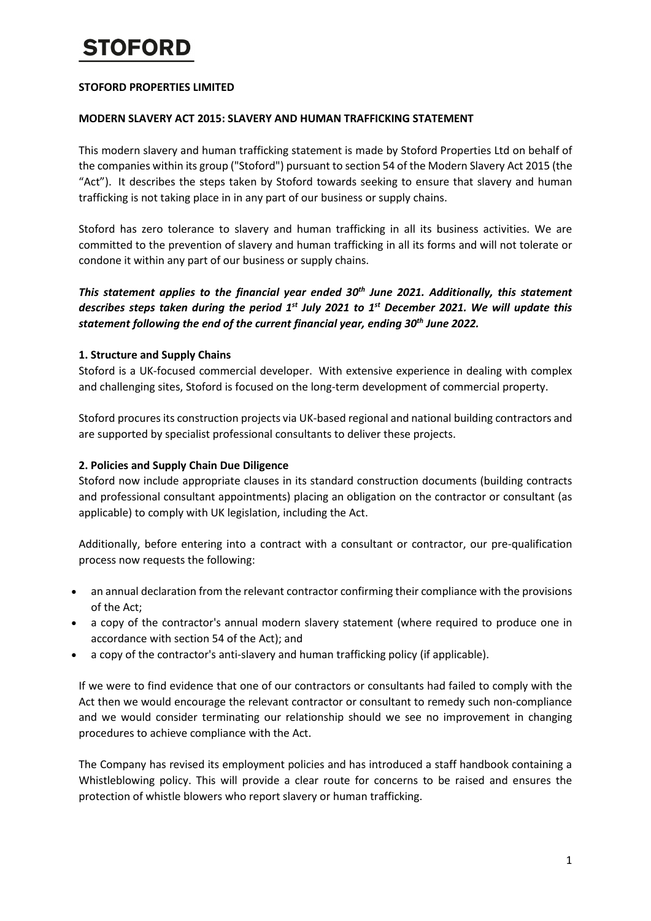# **TOFORD**

### **STOFORD PROPERTIES LIMITED**

#### **MODERN SLAVERY ACT 2015: SLAVERY AND HUMAN TRAFFICKING STATEMENT**

This modern slavery and human trafficking statement is made by Stoford Properties Ltd on behalf of the companies within its group ("Stoford") pursuant to section 54 of the Modern Slavery Act 2015 (the "Act"). It describes the steps taken by Stoford towards seeking to ensure that slavery and human trafficking is not taking place in in any part of our business or supply chains.

Stoford has zero tolerance to slavery and human trafficking in all its business activities. We are committed to the prevention of slavery and human trafficking in all its forms and will not tolerate or condone it within any part of our business or supply chains.

*This statement applies to the financial year ended 30th June 2021. Additionally, this statement describes steps taken during the period 1st July 2021 to 1st December 2021. We will update this statement following the end of the current financial year, ending 30th June 2022.*

## **1. Structure and Supply Chains**

Stoford is a UK-focused commercial developer. With extensive experience in dealing with complex and challenging sites, Stoford is focused on the long-term development of commercial property.

Stoford procures its construction projects via UK-based regional and national building contractors and are supported by specialist professional consultants to deliver these projects.

### **2. Policies and Supply Chain Due Diligence**

Stoford now include appropriate clauses in its standard construction documents (building contracts and professional consultant appointments) placing an obligation on the contractor or consultant (as applicable) to comply with UK legislation, including the Act.

Additionally, before entering into a contract with a consultant or contractor, our pre-qualification process now requests the following:

- an annual declaration from the relevant contractor confirming their compliance with the provisions of the Act;
- a copy of the contractor's annual modern slavery statement (where required to produce one in accordance with section 54 of the Act); and
- a copy of the contractor's anti-slavery and human trafficking policy (if applicable).

If we were to find evidence that one of our contractors or consultants had failed to comply with the Act then we would encourage the relevant contractor or consultant to remedy such non-compliance and we would consider terminating our relationship should we see no improvement in changing procedures to achieve compliance with the Act.

The Company has revised its employment policies and has introduced a staff handbook containing a Whistleblowing policy. This will provide a clear route for concerns to be raised and ensures the protection of whistle blowers who report slavery or human trafficking.